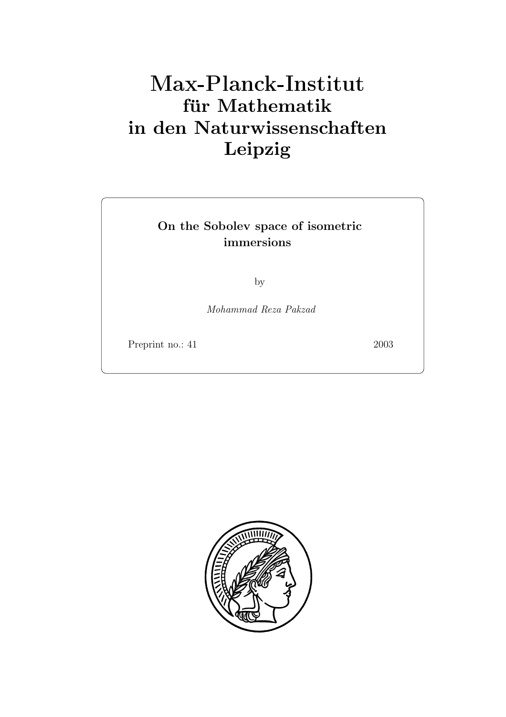# **fur Mathematik ¨ in den Naturwissenschaften Leipzig**

## **On the Sobolev space of isometric immersions**

by

Mohammad Reza Pakzad

Preprint no.: 41 2003

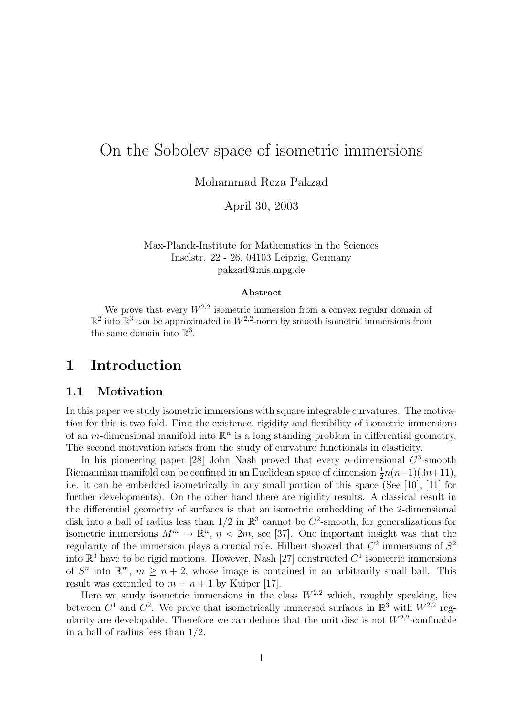# On the Sobolev space of isometric immersions

Mohammad Reza Pakzad

April 30, 2003

Max-Planck-Institute for Mathematics in the Sciences Inselstr. 22 - 26, 04103 Leipzig, Germany pakzad@mis.mpg.de

#### **Abstract**

We prove that every  $W^{2,2}$  isometric immersion from a convex regular domain of  $\mathbb{R}^2$  into  $\mathbb{R}^3$  can be approximated in  $W^{2,2}$ -norm by smooth isometric immersions from the same domain into  $\mathbb{R}^3$ .

## **1 Introduction**

#### **1.1 Motivation**

In this paper we study isometric immersions with square integrable curvatures. The motivation for this is two-fold. First the existence, rigidity and flexibility of isometric immersions of an m-dimensional manifold into  $\mathbb{R}^n$  is a long standing problem in differential geometry. The second motivation arises from the study of curvature functionals in elasticity.

In his pioneering paper [28] John Nash proved that every *n*-dimensional  $C^3$ -smooth Riemannian manifold can be confined in an Euclidean space of dimension  $\frac{1}{2}n(n+1)(3n+11)$ , i.e. it can be embedded isometrically in any small portion of this space (See [10], [11] for further developments). On the other hand there are rigidity results. A classical result in the differential geometry of surfaces is that an isometric embedding of the 2-dimensional disk into a ball of radius less than  $1/2$  in  $\mathbb{R}^3$  cannot be  $C^2$ -smooth; for generalizations for isometric immersions  $M^m \to \mathbb{R}^n$ ,  $n < 2m$ , see [37]. One important insight was that the regularity of the immersion plays a crucial role. Hilbert showed that  $C^2$  immersions of  $S^2$ into  $\mathbb{R}^3$  have to be rigid motions. However, Nash [27] constructed  $C^1$  isometric immersions of  $S^n$  into  $\mathbb{R}^m$ ,  $m \geq n+2$ , whose image is contained in an arbitrarily small ball. This result was extended to  $m = n + 1$  by Kuiper [17].

Here we study isometric immersions in the class  $W^{2,2}$  which, roughly speaking, lies between  $C^1$  and  $C^2$ . We prove that isometrically immersed surfaces in  $\mathbb{R}^3$  with  $W^{2,2}$  regularity are developable. Therefore we can deduce that the unit disc is not  $W^{2,2}$ -confinable in a ball of radius less than 1/2.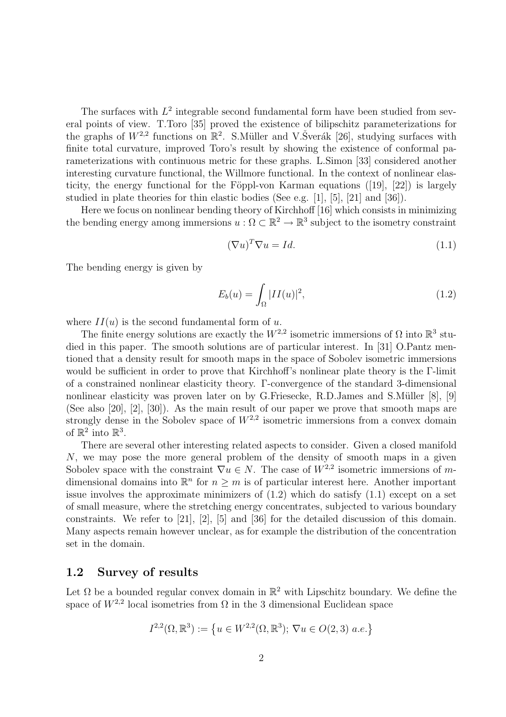The surfaces with  $L^2$  integrable second fundamental form have been studied from several points of view. T.Toro [35] proved the existence of bilipschitz parameterizations for the graphs of  $W^{2,2}$  functions on  $\mathbb{R}^2$ . S. Müller and V. Šverák [26], studying surfaces with finite total curvature, improved Toro's result by showing the existence of conformal parameterizations with continuous metric for these graphs. L.Simon [33] considered another interesting curvature functional, the Willmore functional. In the context of nonlinear elasticity, the energy functional for the Föppl-von Karman equations  $(19, 22)$  is largely studied in plate theories for thin elastic bodies (See e.g. [1], [5], [21] and [36]).

Here we focus on nonlinear bending theory of Kirchhoff [16] which consists in minimizing the bending energy among immersions  $u : \Omega \subset \mathbb{R}^2 \to \mathbb{R}^3$  subject to the isometry constraint

$$
(\nabla u)^T \nabla u = Id. \tag{1.1}
$$

The bending energy is given by

$$
E_b(u) = \int_{\Omega} |II(u)|^2,
$$
\n(1.2)

where  $II(u)$  is the second fundamental form of u.

The finite energy solutions are exactly the  $W^{2,2}$  isometric immersions of  $\Omega$  into  $\mathbb{R}^3$  studied in this paper. The smooth solutions are of particular interest. In [31] O.Pantz mentioned that a density result for smooth maps in the space of Sobolev isometric immersions would be sufficient in order to prove that Kirchhoff's nonlinear plate theory is the Γ-limit of a constrained nonlinear elasticity theory. Γ-convergence of the standard 3-dimensional nonlinear elasticity was proven later on by G.Friesecke, R.D.James and S.Müller [8], [9] (See also [20], [2], [30]). As the main result of our paper we prove that smooth maps are strongly dense in the Sobolev space of  $W^{2,2}$  isometric immersions from a convex domain of  $\mathbb{R}^2$  into  $\mathbb{R}^3$ .

There are several other interesting related aspects to consider. Given a closed manifold N, we may pose the more general problem of the density of smooth maps in a given Sobolev space with the constraint  $\nabla u \in N$ . The case of  $W^{2,2}$  isometric immersions of mdimensional domains into  $\mathbb{R}^n$  for  $n \geq m$  is of particular interest here. Another important issue involves the approximate minimizers of  $(1.2)$  which do satisfy  $(1.1)$  except on a set of small measure, where the stretching energy concentrates, subjected to various boundary constraints. We refer to [21], [2], [5] and [36] for the detailed discussion of this domain. Many aspects remain however unclear, as for example the distribution of the concentration set in the domain.

#### **1.2 Survey of results**

Let  $\Omega$  be a bounded regular convex domain in  $\mathbb{R}^2$  with Lipschitz boundary. We define the space of  $W^{2,2}$  local isometries from  $\Omega$  in the 3 dimensional Euclidean space

$$
I^{2,2}(\Omega,\mathbb{R}^3):=\left\{u\in W^{2,2}(\Omega,\mathbb{R}^3);\,\nabla u\in O(2,3)\,\,a.e.\right\}
$$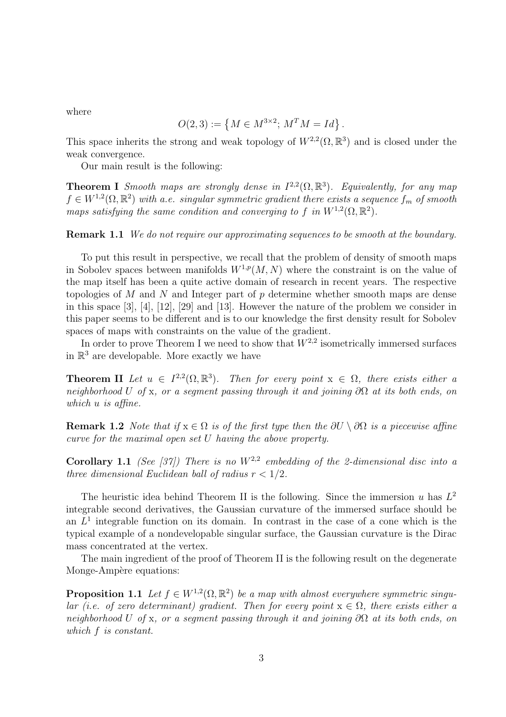where

$$
O(2,3) := \{ M \in M^{3 \times 2}; M^T M = Id \}.
$$

This space inherits the strong and weak topology of  $W^{2,2}(\Omega,\mathbb{R}^3)$  and is closed under the weak convergence.

Our main result is the following:

**Theorem I** Smooth maps are strongly dense in  $I^{2,2}(\Omega,\mathbb{R}^3)$ . Equivalently, for any map  $f \in W^{1,2}(\Omega,\mathbb{R}^2)$  with a.e. singular symmetric gradient there exists a sequence  $f_m$  of smooth maps satisfying the same condition and converging to f in  $W^{1,2}(\Omega,\mathbb{R}^2)$ .

**Remark 1.1** We do not require our approximating sequences to be smooth at the boundary.

To put this result in perspective, we recall that the problem of density of smooth maps in Sobolev spaces between manifolds  $W^{1,p}(M,N)$  where the constraint is on the value of the map itself has been a quite active domain of research in recent years. The respective topologies of M and N and Integer part of p determine whether smooth maps are dense in this space [3], [4], [12], [29] and [13]. However the nature of the problem we consider in this paper seems to be different and is to our knowledge the first density result for Sobolev spaces of maps with constraints on the value of the gradient.

In order to prove Theorem I we need to show that  $W^{2,2}$  isometrically immersed surfaces in  $\mathbb{R}^3$  are developable. More exactly we have

**Theorem II** Let  $u \in I^{2,2}(\Omega,\mathbb{R}^3)$ . Then for every point  $x \in \Omega$ , there exists either a neighborhood U of x, or a segment passing through it and joining  $\partial\Omega$  at its both ends, on which u is affine.

**Remark 1.2** Note that if  $x \in \Omega$  is of the first type then the  $\partial U \setminus \partial \Omega$  is a piecewise affine curve for the maximal open set U having the above property.

**Corollary 1.1** (See [37]) There is no  $W^{2,2}$  embedding of the 2-dimensional disc into a three dimensional Euclidean ball of radius  $r < 1/2$ .

The heuristic idea behind Theorem II is the following. Since the immersion u has  $L^2$ integrable second derivatives, the Gaussian curvature of the immersed surface should be an  $L<sup>1</sup>$  integrable function on its domain. In contrast in the case of a cone which is the typical example of a nondevelopable singular surface, the Gaussian curvature is the Dirac mass concentrated at the vertex.

The main ingredient of the proof of Theorem II is the following result on the degenerate Monge-Ampère equations:

**Proposition 1.1** Let  $f \in W^{1,2}(\Omega,\mathbb{R}^2)$  be a map with almost everywhere symmetric singular (i.e. of zero determinant) gradient. Then for every point  $x \in \Omega$ , there exists either a neighborhood U of x, or a segment passing through it and joining  $\partial\Omega$  at its both ends, on which f is constant.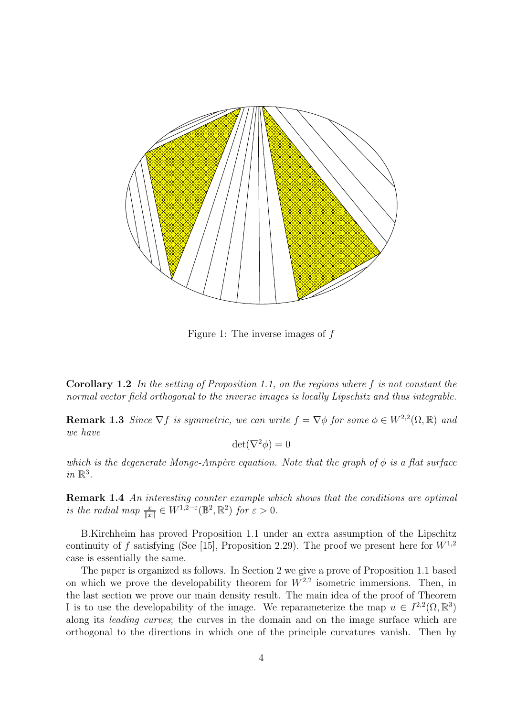

Figure 1: The inverse images of f

**Corollary 1.2** In the setting of Proposition 1.1, on the regions where f is not constant the normal vector field orthogonal to the inverse images is locally Lipschitz and thus integrable.

**Remark 1.3** Since  $\nabla f$  is symmetric, we can write  $f = \nabla \phi$  for some  $\phi \in W^{2,2}(\Omega,\mathbb{R})$  and we have

$$
\det(\nabla^2 \phi) = 0
$$

which is the degenerate Monge-Ampère equation. Note that the graph of  $\phi$  is a flat surface in  $\mathbb{R}^3$ .

**Remark 1.4** An interesting counter example which shows that the conditions are optimal is the radial map  $\frac{x}{\|x\|} \in W^{1,2-\varepsilon}(\mathbb{B}^2, \mathbb{R}^2)$  for  $\varepsilon > 0$ .

B.Kirchheim has proved Proposition 1.1 under an extra assumption of the Lipschitz continuity of f satisfying (See [15], Proposition 2.29). The proof we present here for  $W^{1,2}$ case is essentially the same.

The paper is organized as follows. In Section 2 we give a prove of Proposition 1.1 based on which we prove the developability theorem for  $W^{2,2}$  isometric immersions. Then, in the last section we prove our main density result. The main idea of the proof of Theorem I is to use the developability of the image. We reparameterize the map  $u \in I^{2,2}(\Omega,\mathbb{R}^3)$ along its leading curves; the curves in the domain and on the image surface which are orthogonal to the directions in which one of the principle curvatures vanish. Then by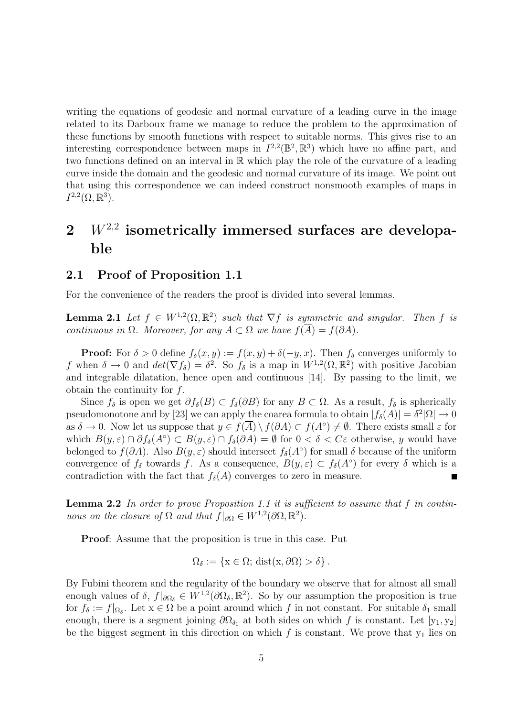writing the equations of geodesic and normal curvature of a leading curve in the image related to its Darboux frame we manage to reduce the problem to the approximation of these functions by smooth functions with respect to suitable norms. This gives rise to an interesting correspondence between maps in  $I^{2,2}(\mathbb{B}^2,\mathbb{R}^3)$  which have no affine part, and two functions defined on an interval in R which play the role of the curvature of a leading curve inside the domain and the geodesic and normal curvature of its image. We point out that using this correspondence we can indeed construct nonsmooth examples of maps in  $I^{2,2}(\Omega,\mathbb{R}^3)$ .

# **2** W<sup>2</sup>,<sup>2</sup> **isometrically immersed surfaces are developable**

#### **2.1 Proof of Proposition 1.1**

For the convenience of the readers the proof is divided into several lemmas.

**Lemma 2.1** Let  $f \in W^{1,2}(\Omega,\mathbb{R}^2)$  such that  $\nabla f$  is symmetric and singular. Then f is continuous in  $\Omega$ . Moreover, for any  $A \subset \Omega$  we have  $f(\overline{A}) = f(\partial A)$ .

**Proof:** For  $\delta > 0$  define  $f_{\delta}(x, y) := f(x, y) + \delta(-y, x)$ . Then  $f_{\delta}$  converges uniformly to f when  $\delta \to 0$  and  $det(\nabla f_\delta) = \delta^2$ . So  $f_\delta$  is a map in  $W^{1,2}(\Omega,\mathbb{R}^2)$  with positive Jacobian and integrable dilatation, hence open and continuous [14]. By passing to the limit, we obtain the continuity for  $f$ .

Since  $f_\delta$  is open we get  $\partial f_\delta(B) \subset f_\delta(\partial B)$  for any  $B \subset \Omega$ . As a result,  $f_\delta$  is spherically pseudomonotone and by [23] we can apply the coarea formula to obtain  $|f_{\delta}(A)| = \delta^2 |\Omega| \to 0$ as  $\delta \to 0$ . Now let us suppose that  $y \in f(\overline{A}) \setminus f(\partial A) \subset f(A^{\circ}) \neq \emptyset$ . There exists small  $\varepsilon$  for which  $B(y,\varepsilon) \cap \partial f_\delta(A^\circ) \subset B(y,\varepsilon) \cap f_\delta(\partial A) = \emptyset$  for  $0 < \delta < C\varepsilon$  otherwise, y would have belonged to  $f(\partial A)$ . Also  $B(y, \varepsilon)$  should intersect  $f_{\delta}(A^{\circ})$  for small  $\delta$  because of the uniform convergence of  $f_\delta$  towards f. As a consequence,  $B(y, \varepsilon) \subset f_\delta(A^\circ)$  for every  $\delta$  which is a contradiction with the fact that  $f_\delta(A)$  converges to zero in measure. contradiction with the fact that  $f_{\delta}(A)$  converges to zero in measure.

**Lemma 2.2** In order to prove Proposition 1.1 it is sufficient to assume that f in continuous on the closure of  $\Omega$  and that  $f|_{\partial\Omega} \in W^{1,2}(\partial\Omega,\mathbb{R}^2)$ .

**Proof**: Assume that the proposition is true in this case. Put

$$
\Omega_{\delta} := \{ \mathbf{x} \in \Omega; \, \text{dist}(\mathbf{x}, \partial \Omega) > \delta \}.
$$

By Fubini theorem and the regularity of the boundary we observe that for almost all small enough values of  $\delta$ ,  $f|_{\partial\Omega_{\delta}} \in W^{1,2}(\partial\Omega_{\delta},\mathbb{R}^2)$ . So by our assumption the proposition is true for  $f_\delta := f|_{\Omega_\delta}$ . Let  $x \in \Omega$  be a point around which f in not constant. For suitable  $\delta_1$  small enough, there is a segment joining  $\partial\Omega_{\delta_1}$  at both sides on which f is constant. Let [y<sub>1</sub>, y<sub>2</sub>] be the biggest segment in this direction on which f is constant. We prove that  $y_1$  lies on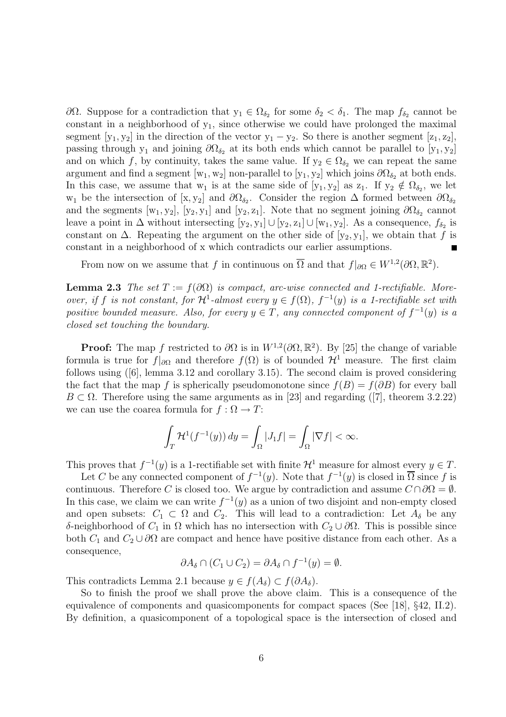$∂Ω$ . Suppose for a contradiction that  $y_1 ∈ Ω_{δ_2}$  for some  $δ_2 < δ_1$ . The map  $f_{δ_2}$  cannot be constant in a neighborhood of  $y_1$ , since otherwise we could have prolonged the maximal segment  $[y_1, y_2]$  in the direction of the vector  $y_1 - y_2$ . So there is another segment  $[z_1, z_2]$ , passing through y<sub>1</sub> and joining  $\partial\Omega_{\delta_2}$  at its both ends which cannot be parallel to [y<sub>1</sub>, y<sub>2</sub>] and on which f, by continuity, takes the same value. If  $y_2 \in \Omega_{\delta_2}$  we can repeat the same argument and find a segment  $[w_1, w_2]$  non-parallel to  $[y_1, y_2]$  which joins  $\partial\Omega_{\delta_2}$  at both ends. In this case, we assume that w<sub>1</sub> is at the same side of  $[y_1, y_2]$  as  $z_1$ . If  $y_2 \notin \Omega_{\delta_2}$ , we let w<sub>1</sub> be the intersection of [x, y<sub>2</sub>] and  $\partial\Omega_{\delta_2}$ . Consider the region  $\Delta$  formed between  $\partial\Omega_{\delta_2}$ and the segments  $[w_1, y_2]$ ,  $[y_2, y_1]$  and  $[y_2, z_1]$ . Note that no segment joining  $\partial\Omega_{\delta_2}$  cannot leave a point in  $\Delta$  without intersecting  $[y_2, y_1] \cup [y_2, z_1] \cup [w_1, y_2]$ . As a consequence,  $f_{\delta_2}$  is constant on  $\Delta$ . Repeating the argument on the other side of [y<sub>2</sub>, y<sub>1</sub>], we obtain that f is constant in a neighborhood of x which contradicts our earlier assumptions.

From now on we assume that f in continuous on  $\overline{\Omega}$  and that  $f|_{\partial\Omega} \in W^{1,2}(\partial\Omega,\mathbb{R}^2)$ .

**Lemma 2.3** The set  $T := f(\partial\Omega)$  is compact, arc-wise connected and 1-rectifiable. Moreover, if f is not constant, for  $\mathcal{H}^1$ -almost every  $y \in f(\Omega)$ ,  $f^{-1}(y)$  is a 1-rectifiable set with positive bounded measure. Also, for every  $y \in T$ , any connected component of  $f^{-1}(y)$  is a closed set touching the boundary.

**Proof:** The map f restricted to  $\partial\Omega$  is in  $W^{1,2}(\partial\Omega,\mathbb{R}^2)$ . By [25] the change of variable formula is true for  $f|_{\partial\Omega}$  and therefore  $f(\Omega)$  is of bounded  $\mathcal{H}^1$  measure. The first claim follows using ([6], lemma 3.12 and corollary 3.15). The second claim is proved considering the fact that the map f is spherically pseudomonotone since  $f(B) = f(\partial B)$  for every ball  $B \subset \Omega$ . Therefore using the same arguments as in [23] and regarding ([7], theorem 3.2.22) we can use the coarea formula for  $f : \Omega \to T$ :

$$
\int_T \mathcal{H}^1(f^{-1}(y)) dy = \int_{\Omega} |J_1 f| = \int_{\Omega} |\nabla f| < \infty.
$$

This proves that  $f^{-1}(y)$  is a 1-rectifiable set with finite  $\mathcal{H}^1$  measure for almost every  $y \in T$ .

Let C be any connected component of  $f^{-1}(y)$ . Note that  $f^{-1}(y)$  is closed in  $\overline{\Omega}$  since f is continuous. Therefore C is closed too. We argue by contradiction and assume  $C \cap \partial \Omega = \emptyset$ . In this case, we claim we can write  $f^{-1}(y)$  as a union of two disjoint and non-empty closed and open subsets:  $C_1 \subset \Omega$  and  $C_2$ . This will lead to a contradiction: Let  $A_\delta$  be any δ-neighborhood of  $C_1$  in  $\Omega$  which has no intersection with  $C_2 \cup \partial \Omega$ . This is possible since both  $C_1$  and  $C_2 \cup \partial\Omega$  are compact and hence have positive distance from each other. As a consequence,

$$
\partial A_{\delta} \cap (C_1 \cup C_2) = \partial A_{\delta} \cap f^{-1}(y) = \emptyset.
$$

This contradicts Lemma 2.1 because  $y \in f(A_\delta) \subset f(\partial A_\delta)$ .

So to finish the proof we shall prove the above claim. This is a consequence of the equivalence of components and quasicomponents for compact spaces (See [18], §42, II.2). By definition, a quasicomponent of a topological space is the intersection of closed and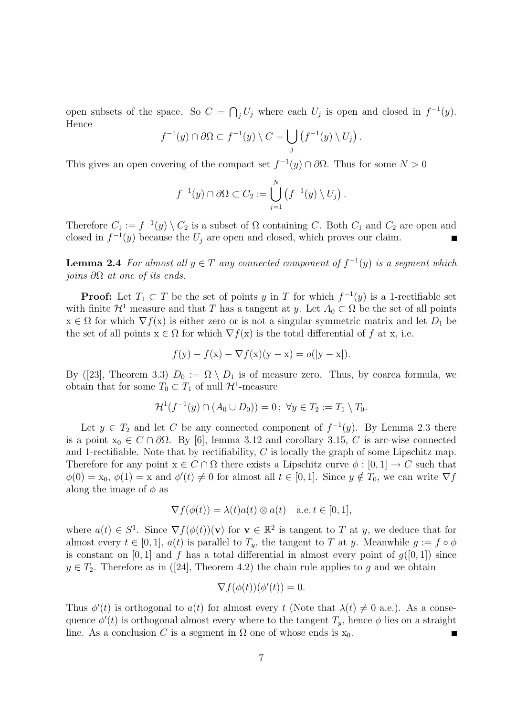open subsets of the space. So  $C = \bigcap_j U_j$  where each  $U_j$  is open and closed in  $f^{-1}(y)$ .<br>Hence Hence

$$
f^{-1}(y) \cap \partial \Omega \subset f^{-1}(y) \setminus C = \bigcup_j \left( f^{-1}(y) \setminus U_j \right).
$$

This gives an open covering of the compact set  $f^{-1}(y) \cap \partial \Omega$ . Thus for some  $N > 0$ 

$$
f^{-1}(y) \cap \partial \Omega \subset C_2 := \bigcup_{j=1}^N \left( f^{-1}(y) \setminus U_j \right).
$$

Therefore  $C_1 := f^{-1}(y) \setminus C_2$  is a subset of  $\Omega$  containing C. Both  $C_1$  and  $C_2$  are open and closed in  $f^{-1}(y)$  because the  $U_i$  are open and closed, which proves our claim.

**Lemma 2.4** For almost all  $y \in T$  any connected component of  $f^{-1}(y)$  is a segment which joins  $\partial\Omega$  at one of its ends.

**Proof:** Let  $T_1 \subset T$  be the set of points y in T for which  $f^{-1}(y)$  is a 1-rectifiable set with finite  $\mathcal{H}^1$  measure and that T has a tangent at y. Let  $A_0 \subset \Omega$  be the set of all points  $x \in \Omega$  for which  $\nabla f(x)$  is either zero or is not a singular symmetric matrix and let  $D_1$  be the set of all points  $x \in \Omega$  for which  $\nabla f(x)$  is the total differential of f at x, i.e.

$$
f(y) - f(x) - \nabla f(x)(y - x) = o(|y - x|).
$$

By ([23], Theorem 3.3)  $D_0 := \Omega \setminus D_1$  is of measure zero. Thus, by coarea formula, we obtain that for some  $T_0 \subset T_1$  of null  $\mathcal{H}^1$ -measure

$$
\mathcal{H}^{1}(f^{-1}(y) \cap (A_0 \cup D_0)) = 0; \ \forall y \in T_2 := T_1 \setminus T_0.
$$

Let  $y \in T_2$  and let C be any connected component of  $f^{-1}(y)$ . By Lemma 2.3 there is a point  $x_0 \in C \cap \partial \Omega$ . By [6], lemma 3.12 and corollary 3.15, C is arc-wise connected and 1-rectifiable. Note that by rectifiability,  $C$  is locally the graph of some Lipschitz map. Therefore for any point  $x \in C \cap \Omega$  there exists a Lipschitz curve  $\phi : [0, 1] \to C$  such that  $\phi(0) = x_0, \, \phi(1) = x$  and  $\phi'(t) \neq 0$  for almost all  $t \in [0, 1]$ . Since  $y \notin T_0$ , we can write  $\nabla f$ along the image of  $\phi$  as

$$
\nabla f(\phi(t)) = \lambda(t)a(t) \otimes a(t) \quad \text{a.e. } t \in [0, 1],
$$

where  $a(t) \in S^1$ . Since  $\nabla f(\phi(t))(\mathbf{v})$  for  $\mathbf{v} \in \mathbb{R}^2$  is tangent to T at y, we deduce that for almost every  $t \in [0,1], a(t)$  is parallel to  $T_y$ , the tangent to T at y. Meanwhile  $g := f \circ \phi$ is constant on [0, 1] and f has a total differential in almost every point of  $g([0, 1])$  since  $y \in T_2$ . Therefore as in ([24], Theorem 4.2) the chain rule applies to g and we obtain

$$
\nabla f(\phi(t))(\phi'(t)) = 0.
$$

Thus  $\phi'(t)$  is orthogonal to  $a(t)$  for almost every t (Note that  $\lambda(t) \neq 0$  a.e.). As a consequence  $\phi'(t)$  is orthogonal almost every where to the tangent  $T_y$ , hence  $\phi$  lies on a straight line. As a conclusion C is a segment in  $\Omega$  one of whose ends is  $x_0$ .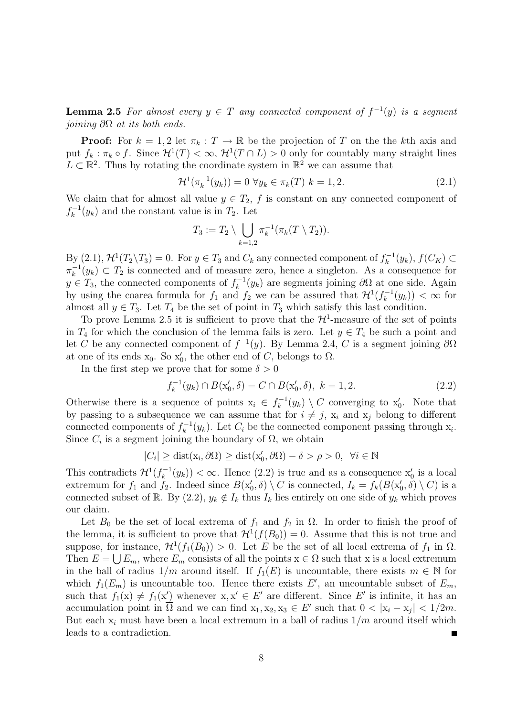**Lemma 2.5** For almost every  $y \in T$  any connected component of  $f^{-1}(y)$  is a segment joining  $\partial\Omega$  at its both ends.

**Proof:** For  $k = 1, 2$  let  $\pi_k : T \to \mathbb{R}$  be the projection of T on the the kth axis and put  $f_k : \pi_k \circ f$ . Since  $\mathcal{H}^1(T) < \infty$ ,  $\mathcal{H}^1(T \cap L) > 0$  only for countably many straight lines  $L \subset \mathbb{R}^2$ . Thus by rotating the coordinate system in  $\mathbb{R}^2$  we can assume that

$$
\mathcal{H}^1(\pi_k^{-1}(y_k)) = 0 \,\,\forall y_k \in \pi_k(T) \,\, k = 1, 2. \tag{2.1}
$$

We claim that for almost all value  $y \in T_2$ , f is constant on any connected component of  $f_k^{-1}(y_k)$  and the constant value is in  $T_2$ . Let

$$
T_3 := T_2 \setminus \bigcup_{k=1,2} \pi_k^{-1}(\pi_k(T \setminus T_2)).
$$

By  $(2.1), \mathcal{H}^1(T_2 \backslash T_3) = 0$ . For  $y \in T_3$  and  $C_k$  any connected component of  $f_k^{-1}(y_k)$ ,  $f(C_K) \subset$ <br> $\pi^{-1}(y_k) \subset T_k$  is connected and of measure zero, hence a singleton. As a consequence for  $\pi_k^{-1}(y_k) \subset T_2$  is connected and of measure zero, hence a singleton. As a consequence for  $y \in T$ , the connected components of  $f^{-1}(y_k)$  are segments igning  $\partial\Omega$  at one side. Again  $y \in T_3$ , the connected components of  $f_k^{-1}(y_k)$  are segments joining  $\partial\Omega$  at one side. Again<br>by using the coarea formula for f, and f, we can be assumed that  $\mathcal{H}^1(f^{-1}(y_k)) \leq \infty$  for by using the coarea formula for  $f_1$  and  $f_2$  we can be assured that  $\mathcal{H}^1(f_k^{-1}(y_k)) < \infty$  for all  $y \in T$ . Let  $T$  be the set of point in  $T$ , which satisfy this last condition almost all  $y \in T_3$ . Let  $T_4$  be the set of point in  $T_3$  which satisfy this last condition.

To prove Lemma 2.5 it is sufficient to prove that the  $\mathcal{H}^1$ -measure of the set of points in  $T_4$  for which the conclusion of the lemma fails is zero. Let  $y \in T_4$  be such a point and let C be any connected component of  $f^{-1}(y)$ . By Lemma 2.4, C is a segment joining  $\partial\Omega$ at one of its ends  $x_0$ . So  $x'_0$ , the other end of C, belongs to  $\Omega$ .

In the first step we prove that for some  $\delta > 0$ 

$$
f_k^{-1}(y_k) \cap B(\mathbf{x}'_0, \delta) = C \cap B(\mathbf{x}'_0, \delta), \ k = 1, 2. \tag{2.2}
$$

Otherwise there is a sequence of points  $x_i \in f_k^{-1}(y_k) \setminus C$  converging to  $x'_0$ . Note that by passing to a subsequence we can assume that for  $i \neq i$ , x and x belong to different by passing to a subsequence we can assume that for  $i \neq j$ ,  $x_i$  and  $x_j$  belong to different connected components of  $f_k^{-1}(y_k)$ . Let  $C_i$  be the connected component passing through  $x_i$ .<br>Since  $C$  is a sormont joining the boundary of  $\Omega$  we obtain Since  $C_i$  is a segment joining the boundary of  $\Omega$ , we obtain

$$
|C_i| \ge \text{dist}(\mathbf{x_i}, \partial \Omega) \ge \text{dist}(\mathbf{x'_0}, \partial \Omega) - \delta > \rho > 0, \ \forall i \in \mathbb{N}
$$

This contradicts  $\mathcal{H}^1(f_k^{-1}(y_k)) < \infty$ . Hence  $(2.2)$  is true and as a consequence  $x'_0$  is a local optronum for f, and f. Indeed since  $R(x', \delta) \setminus C$  is connected.  $L = f_r(R(x', \delta) \setminus C)$  is a extremum for  $f_1$  and  $f_2$ . Indeed since  $B(\mathbf{x}'_0, \delta) \setminus C$  is connected,  $I_k = f_k(B(\mathbf{x}'_0, \delta) \setminus C)$  is a connected subset of R. By (2.2),  $y_k \notin I_k$  thus  $I_k$  lies entirely on one side of  $y_k$  which proves our claim.

Let  $B_0$  be the set of local extrema of  $f_1$  and  $f_2$  in  $\Omega$ . In order to finish the proof of the lemma, it is sufficient to prove that  $\mathcal{H}^1(f(B_0)) = 0$ . Assume that this is not true and suppose, for instance,  $\mathcal{H}^1(f_1(B_0)) > 0$ . Let E be the set of all local extrema of  $f_1$  in  $\Omega$ . Then  $E = \bigcup E_m$ , where  $E_m$  consists of all the points  $x \in \Omega$  such that x is a local extremum in the ball of radius  $1/m$  around itself. If  $f_1(E)$  is uncountable, there exists  $m \in \mathbb{N}$  for which  $f_1(E_m)$  is uncountable too. Hence there exists E', an uncountable subset of  $E_m$ , such that  $f_1(x) \neq f_1(x')$  whenever  $x, x' \in E'$  are different. Since E' is infinite, it has an accumulation point in  $\overline{\Omega}$  and we can find  $x_1, x_2, x_3 \in E'$  such that  $0 < |x_i - x_j| < 1/2m$ . But each  $x_i$  must have been a local extremum in a ball of radius  $1/m$  around itself which leads to a contradiction.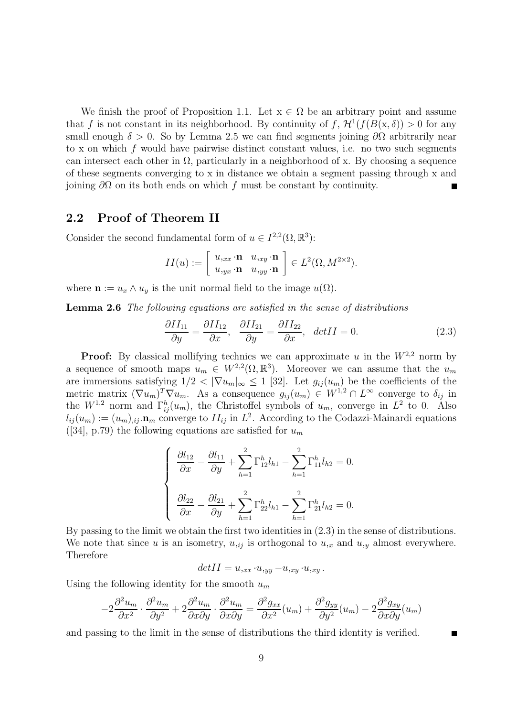We finish the proof of Proposition 1.1. Let  $x \in \Omega$  be an arbitrary point and assume that f is not constant in its neighborhood. By continuity of f,  $\mathcal{H}^1(f(B(\mathbf{x},\delta)) > 0$  for any small enough  $\delta > 0$ . So by Lemma 2.5 we can find segments joining  $\partial\Omega$  arbitrarily near to x on which f would have pairwise distinct constant values, i.e. no two such segments can intersect each other in  $\Omega$ , particularly in a neighborhood of x. By choosing a sequence of these segments converging to x in distance we obtain a segment passing through x and joining  $\partial\Omega$  on its both ends on which f must be constant by continuity.

#### **2.2 Proof of Theorem II**

Consider the second fundamental form of  $u \in I^{2,2}(\Omega,\mathbb{R}^3)$ :

$$
II(u) := \left[ \begin{array}{cc} u_{,xx} \cdot \mathbf{n} & u_{,xy} \cdot \mathbf{n} \\ u_{,yx} \cdot \mathbf{n} & u_{,yy} \cdot \mathbf{n} \end{array} \right] \in L^2(\Omega, M^{2 \times 2}).
$$

where  $\mathbf{n} := u_x \wedge u_y$  is the unit normal field to the image  $u(\Omega)$ .

**Lemma 2.6** The following equations are satisfied in the sense of distributions

$$
\frac{\partial II_{11}}{\partial y} = \frac{\partial II_{12}}{\partial x}, \quad \frac{\partial II_{21}}{\partial y} = \frac{\partial II_{22}}{\partial x}, \quad detII = 0.
$$
 (2.3)

**Proof:** By classical mollifying technics we can approximate u in the  $W^{2,2}$  norm by a sequence of smooth maps  $u_m \in W^{2,2}(\Omega,\mathbb{R}^3)$ . Moreover we can assume that the  $u_m$ are immersions satisfying  $1/2 < |\nabla u_m|_{\infty} \le 1$  [32]. Let  $g_{ij}(u_m)$  be the coefficients of the metric matrix  $(\nabla u_m)^T \nabla u_m$ . As a consequence  $g_{ij}(u_m) \in W^{1,2} \cap L^{\infty}$  converge to  $\delta_{ij}$  in the  $W^{1,2}$  norm and  $\Gamma_{ij}^h(u_m)$ , the Christoffel symbols of  $u_m$ , converge in  $L^2$  to 0. Also  $l_{ij}(u_m) := (u_m)_{ij} \cdot \mathbf{n}_m$  converge to  $II_{ij}$  in  $L^2$ . According to the Codazzi-Mainardi equations ([34], p.79) the following equations are satisfied for  $u_m$ 

$$
\begin{cases} \n\frac{\partial l_{12}}{\partial x} - \frac{\partial l_{11}}{\partial y} + \sum_{h=1}^{2} \Gamma_{12}^{h} l_{h1} - \sum_{h=1}^{2} \Gamma_{11}^{h} l_{h2} = 0. \\
\frac{\partial l_{22}}{\partial x} - \frac{\partial l_{21}}{\partial y} + \sum_{h=1}^{2} \Gamma_{22}^{h} l_{h1} - \sum_{h=1}^{2} \Gamma_{21}^{h} l_{h2} = 0.\n\end{cases}
$$

By passing to the limit we obtain the first two identities in (2.3) in the sense of distributions. We note that since u is an isometry,  $u_{ij}$  is orthogonal to  $u_{ix}$  and  $u_{iy}$  almost everywhere. Therefore

$$
det II = u_{,xx} \cdot u_{,yy} - u_{,xy} \cdot u_{,xy}.
$$

Using the following identity for the smooth  $u_m$ 

$$
-2\frac{\partial^2 u_m}{\partial x^2} \cdot \frac{\partial^2 u_m}{\partial y^2} + 2\frac{\partial^2 u_m}{\partial x \partial y} \cdot \frac{\partial^2 u_m}{\partial x \partial y} = \frac{\partial^2 g_{xx}}{\partial x^2}(u_m) + \frac{\partial^2 g_{yy}}{\partial y^2}(u_m) - 2\frac{\partial^2 g_{xy}}{\partial x \partial y}(u_m)
$$

and passing to the limit in the sense of distributions the third identity is verified.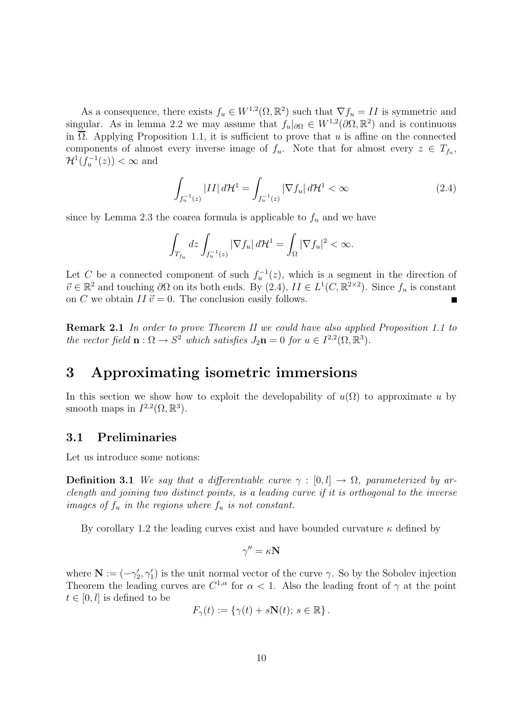As a consequence, there exists  $f_u \in W^{1,2}(\Omega, \mathbb{R}^2)$  such that  $\nabla f_u = II$  is symmetric and singular. As in lemma 2.2 we may assume that  $f_u|_{\partial\Omega} \in W^{1,2}(\partial\Omega,\mathbb{R}^2)$  and is continuous in  $\overline{\Omega}$ . Applying Proposition 1.1, it is sufficient to prove that u is affine on the connected components of almost every inverse image of  $f_u$ . Note that for almost every  $z \in T_{f_u}$ ,  $\mathcal{H}^1(f_u^{-1}(z)) < \infty$  and

$$
\int_{f_u^{-1}(z)} |II| d\mathcal{H}^1 = \int_{f_u^{-1}(z)} |\nabla f_u| d\mathcal{H}^1 < \infty \tag{2.4}
$$

since by Lemma 2.3 the coarea formula is applicable to  $f_u$  and we have

$$
\int_{T_{f_u}} dz \int_{f_u^{-1}(z)} |\nabla f_u| d\mathcal{H}^1 = \int_{\Omega} |\nabla f_u|^2 < \infty.
$$

Let C be a connected component of such  $f_u^{-1}(z)$ , which is a segment in the direction of  $\vec{a} \in \mathbb{R}^2$  and touching  $\partial \Omega$  on its both and  $\mathbb{R}^u$  (2.4),  $H \subset L^1(C, \mathbb{R}^{2 \times 2})$ . Since f is constant  $\vec{v} \in \mathbb{R}^2$  and touching  $\partial\Omega$  on its both ends. By  $(2.4)$ ,  $II \in L^1(C, \mathbb{R}^{2 \times 2})$ . Since  $f_u$  is constant on C we obtain  $II \vec{v} = 0$ . The conclusion easily follows.

**Remark 2.1** In order to prove Theorem II we could have also applied Proposition 1.1 to the vector field  $\mathbf{n}: \Omega \to S^2$  which satisfies  $J_2\mathbf{n} = 0$  for  $u \in I^{2,2}(\Omega,\mathbb{R}^3)$ .

## **3 Approximating isometric immersions**

In this section we show how to exploit the developability of  $u(\Omega)$  to approximate u by smooth maps in  $I^{2,2}(\Omega,\mathbb{R}^3)$ .

#### **3.1 Preliminaries**

Let us introduce some notions:

**Definition 3.1** We say that a differentiable curve  $\gamma : [0, l] \rightarrow \Omega$ , parameterized by arclength and joining two distinct points, is a leading curve if it is orthogonal to the inverse images of  $f_u$  in the regions where  $f_u$  is not constant.

By corollary 1.2 the leading curves exist and have bounded curvature  $\kappa$  defined by

$$
\gamma''=\kappa\mathbf{N}
$$

where  $\mathbf{N} := (-\gamma_2', \gamma_1')$  is the unit normal vector of the curve  $\gamma$ . So by the Sobolev injection Theorem the leading curves are  $C^{1,\alpha}$  for  $\alpha < 1$ . Also the leading front of  $\gamma$  at the point  $t \in [0, l]$  is defined to be

$$
F_{\gamma}(t) := \{ \gamma(t) + s\mathbf{N}(t); \ s \in \mathbb{R} \} .
$$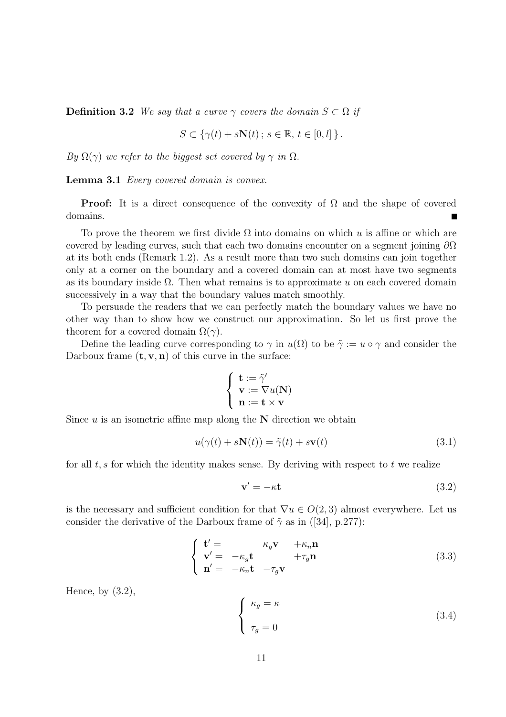**Definition 3.2** We say that a curve  $\gamma$  covers the domain  $S \subset \Omega$  if

$$
S \subset \{ \gamma(t) + s\mathbf{N}(t) \, ; \, s \in \mathbb{R}, \, t \in [0, l] \, \} \, .
$$

By  $\Omega(\gamma)$  we refer to the biggest set covered by  $\gamma$  in  $\Omega$ .

Lemma 3.1 *Every covered domain is convex.* 

**Proof:** It is a direct consequence of the convexity of  $\Omega$  and the shape of covered domains.

To prove the theorem we first divide  $\Omega$  into domains on which u is affine or which are covered by leading curves, such that each two domains encounter on a segment joining  $\partial\Omega$ at its both ends (Remark 1.2). As a result more than two such domains can join together only at a corner on the boundary and a covered domain can at most have two segments as its boundary inside  $\Omega$ . Then what remains is to approximate u on each covered domain successively in a way that the boundary values match smoothly.

To persuade the readers that we can perfectly match the boundary values we have no other way than to show how we construct our approximation. So let us first prove the theorem for a covered domain  $\Omega(\gamma)$ .

Define the leading curve corresponding to  $\gamma$  in  $u(\Omega)$  to be  $\tilde{\gamma} := u \circ \gamma$  and consider the Darboux frame  $(\mathbf{t}, \mathbf{v}, \mathbf{n})$  of this curve in the surface:

$$
\left\{ \begin{array}{l} \mathbf{t} := \tilde{\gamma}' \\ \mathbf{v} := \nabla u(\mathbf{N}) \\ \mathbf{n} := \mathbf{t} \times \mathbf{v} \end{array} \right.
$$

Since  $u$  is an isometric affine map along the  $N$  direction we obtain

$$
u(\gamma(t) + s\mathbf{N}(t)) = \tilde{\gamma}(t) + s\mathbf{v}(t)
$$
\n(3.1)

for all  $t, s$  for which the identity makes sense. By deriving with respect to  $t$  we realize

$$
\mathbf{v}' = -\kappa \mathbf{t} \tag{3.2}
$$

is the necessary and sufficient condition for that  $\nabla u \in O(2,3)$  almost everywhere. Let us consider the derivative of the Darboux frame of  $\tilde{\gamma}$  as in ([34], p.277):

$$
\begin{cases}\n\mathbf{t}' = & \kappa_g \mathbf{v} & +\kappa_n \mathbf{n} \\
\mathbf{v}' = & -\kappa_g \mathbf{t} & +\tau_g \mathbf{n} \\
\mathbf{n}' = & -\kappa_n \mathbf{t} & -\tau_g \mathbf{v}\n\end{cases}
$$
\n(3.3)

Hence, by  $(3.2)$ ,

$$
\begin{cases}\n\kappa_g = \kappa \\
\tau_g = 0\n\end{cases}
$$
\n(3.4)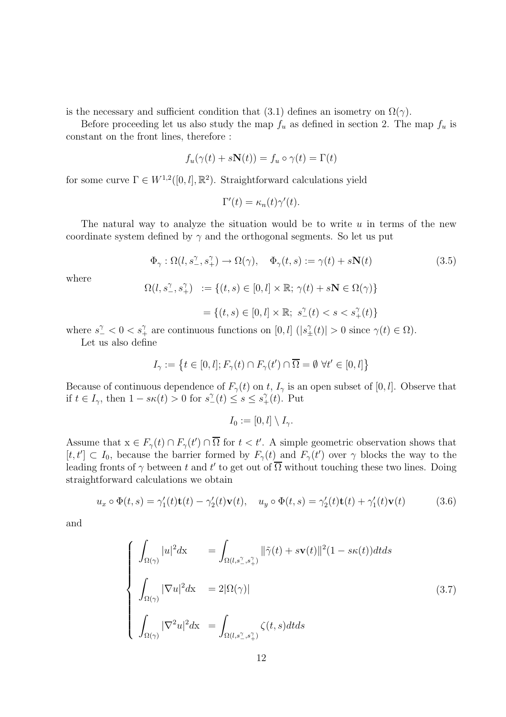is the necessary and sufficient condition that (3.1) defines an isometry on  $\Omega(\gamma)$ .

Before proceeding let us also study the map  $f_u$  as defined in section 2. The map  $f_u$  is constant on the front lines, therefore :

$$
f_u(\gamma(t) + s\mathbf{N}(t)) = f_u \circ \gamma(t) = \Gamma(t)
$$

for some curve  $\Gamma \in W^{1,2}([0,l],\mathbb{R}^2)$ . Straightforward calculations yield

$$
\Gamma'(t) = \kappa_n(t)\gamma'(t).
$$

The natural way to analyze the situation would be to write  $u$  in terms of the new coordinate system defined by  $\gamma$  and the orthogonal segments. So let us put

$$
\Phi_{\gamma} : \Omega(l, s^{\gamma}_{-}, s^{\gamma}_{+}) \to \Omega(\gamma), \quad \Phi_{\gamma}(t, s) := \gamma(t) + s\mathbf{N}(t)
$$
\n(3.5)

where

$$
\Omega(l, s^{\gamma}_{-}, s^{\gamma}_{+}) := \{(t, s) \in [0, l] \times \mathbb{R}; \gamma(t) + s\mathbf{N} \in \Omega(\gamma)\}
$$

 $=\{(t, s) \in [0, l] \times \mathbb{R}; s^{\gamma}_{-}(t) < s < s^{\gamma}_{+}(t)\}\$ 

where  $s^{\gamma} < 0 < s^{\gamma}$  are continuous functions on  $[0, l]$   $(|s^{\gamma}_{\pm}(t)| > 0$  since  $\gamma(t) \in \Omega$ ).

Let us also define

$$
I_{\gamma} := \left\{ t \in [0, l]; F_{\gamma}(t) \cap F_{\gamma}(t') \cap \overline{\Omega} = \emptyset \ \forall t' \in [0, l] \right\}
$$

Because of continuous dependence of  $F_{\gamma}(t)$  on t,  $I_{\gamma}$  is an open subset of [0, l]. Observe that if  $t \in I_{\gamma}$ , then  $1 - s\kappa(t) > 0$  for  $s^{\gamma}(t) \leq s \leq s^{\gamma}(t)$ . Put

$$
I_0 := [0, l] \setminus I_{\gamma}.
$$

Assume that  $x \in F_{\gamma}(t) \cap F_{\gamma}(t') \cap \Omega$  for  $t < t'$ . A simple geometric observation shows that  $[t, t'] \subset I_0$ , because the barrier formed by  $F_{\gamma}(t)$  and  $F_{\gamma}(t')$  over  $\gamma$  blocks the way to the leading fronts of  $\gamma$  between t and t' to get out of  $\Omega$  without touching these two lines. Doing straightforward calculations we obtain

$$
u_x \circ \Phi(t, s) = \gamma_1'(t)\mathbf{t}(t) - \gamma_2'(t)\mathbf{v}(t), \quad u_y \circ \Phi(t, s) = \gamma_2'(t)\mathbf{t}(t) + \gamma_1'(t)\mathbf{v}(t) \tag{3.6}
$$

and

$$
\begin{cases}\n\int_{\Omega(\gamma)} |u|^2 dx = \int_{\Omega(l,s^{\gamma}_{\perp},s^{\gamma}_{\perp})} ||\tilde{\gamma}(t) + s\mathbf{v}(t)||^2 (1 - s\kappa(t)) dt ds \\
\int_{\Omega(\gamma)} |\nabla u|^2 dx = 2|\Omega(\gamma)| \\
\int_{\Omega(\gamma)} |\nabla^2 u|^2 dx = \int_{\Omega(l,s^{\gamma}_{\perp},s^{\gamma}_{\perp})} \zeta(t,s) dt ds\n\end{cases}
$$
\n(3.7)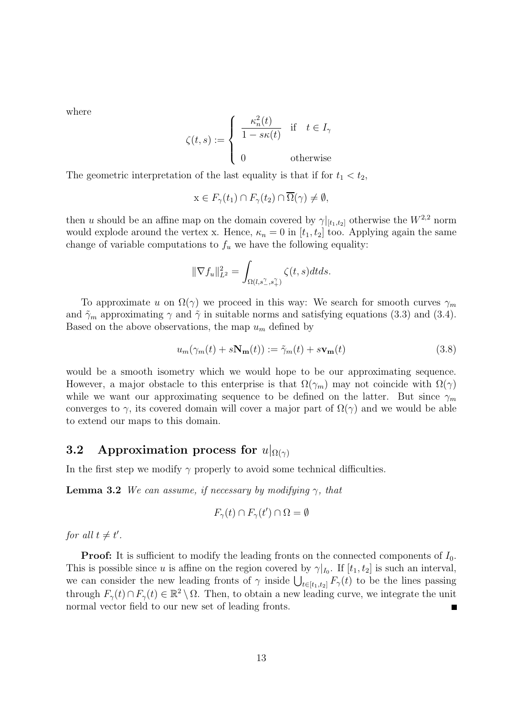where

$$
\zeta(t,s) := \begin{cases}\n\frac{\kappa_n^2(t)}{1 - s\kappa(t)} & \text{if } t \in I_\gamma \\
0 & \text{otherwise}\n\end{cases}
$$

The geometric interpretation of the last equality is that if for  $t_1 < t_2$ ,

$$
x \in F_{\gamma}(t_1) \cap F_{\gamma}(t_2) \cap \overline{\Omega}(\gamma) \neq \emptyset,
$$

then u should be an affine map on the domain covered by  $\gamma|_{[t_1,t_2]}$  otherwise the  $W^{2,2}$  norm would explode around the vertex x. Hence,  $\kappa_n = 0$  in  $[t_1, t_2]$  too. Applying again the same change of variable computations to  $f_u$  we have the following equality:

$$
\|\nabla f_u\|_{L^2}^2 = \int_{\Omega(l,s^{\gamma}_{-},s^{\gamma}_{+})} \zeta(t,s)dt ds.
$$

To approximate u on  $\Omega(\gamma)$  we proceed in this way: We search for smooth curves  $\gamma_m$ and  $\tilde{\gamma}_m$  approximating  $\gamma$  and  $\tilde{\gamma}$  in suitable norms and satisfying equations (3.3) and (3.4). Based on the above observations, the map  $u_m$  defined by

$$
u_m(\gamma_m(t) + s\mathbf{N_m}(t)) := \tilde{\gamma}_m(t) + s\mathbf{v}_m(t)
$$
\n(3.8)

would be a smooth isometry which we would hope to be our approximating sequence. However, a major obstacle to this enterprise is that  $\Omega(\gamma_m)$  may not coincide with  $\Omega(\gamma)$ while we want our approximating sequence to be defined on the latter. But since  $\gamma_m$ converges to  $\gamma$ , its covered domain will cover a major part of  $\Omega(\gamma)$  and we would be able to extend our maps to this domain.

#### **3.2** Approximation process for  $u|_{\Omega(\gamma)}$

In the first step we modify  $\gamma$  properly to avoid some technical difficulties.

**Lemma 3.2** We can assume, if necessary by modifying  $\gamma$ , that

$$
F_{\gamma}(t) \cap F_{\gamma}(t') \cap \Omega = \emptyset
$$

for all  $t \neq t'$ .

**Proof:** It is sufficient to modify the leading fronts on the connected components of  $I_0$ . This is possible since u is affine on the region covered by  $\gamma|_{I_0}$ . If  $[t_1, t_2]$  is such an interval, we can consider the new leading fronts of  $\gamma$  inside  $\bigcup_{t\in[t_1,t_2]} F_{\gamma}(t)$  to be the lines passing<br>through  $E(t) \subseteq E(t) \subseteq \mathbb{R}^2 \setminus \Omega$ . Then to obtain a new leading guys we integrate the unit through  $F_{\gamma}(t) \cap F_{\gamma}(t) \in \mathbb{R}^2 \setminus \Omega$ . Then, to obtain a new leading curve, we integrate the unit normal vector field to our new set of leading fronts normal vector field to our new set of leading fronts.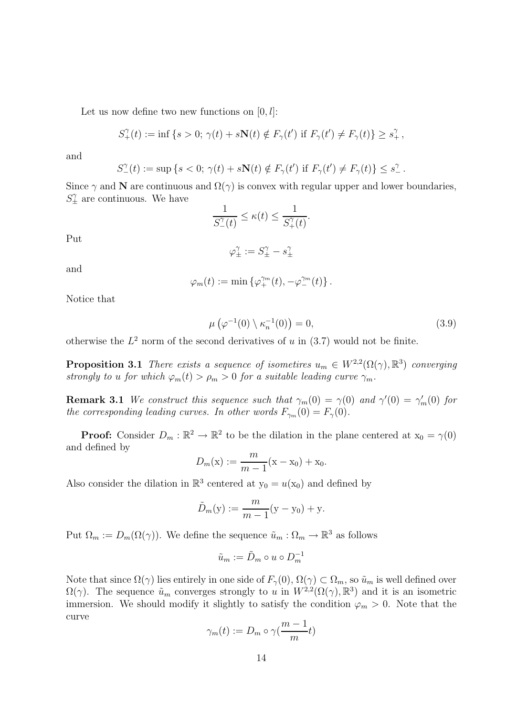Let us now define two new functions on  $[0, l]$ :

$$
S^{\gamma}_{+}(t) := \inf \left\{ s > 0; \, \gamma(t) + s \mathbf{N}(t) \notin F_{\gamma}(t') \text{ if } F_{\gamma}(t') \neq F_{\gamma}(t) \right\} \geq s^{\gamma}_{+},
$$

and

$$
S_{-}^{\gamma}(t) := \sup \left\{ s < 0; \, \gamma(t) + s \mathbf{N}(t) \notin F_{\gamma}(t') \text{ if } F_{\gamma}(t') \neq F_{\gamma}(t) \right\} \leq s_{-}^{\gamma}.
$$

Since  $\gamma$  and **N** are continuous and  $\Omega(\gamma)$  is convex with regular upper and lower boundaries,  $S_{\pm}^{\gamma}$  are continuous. We have

$$
\frac{1}{S_{-}^{\gamma}(t)} \le \kappa(t) \le \frac{1}{S_{+}^{\gamma}(t)}.
$$

Put

$$
\varphi_{\pm}^{\gamma}:=S_{\pm}^{\gamma}-s_{\pm}^{\gamma}
$$

and

$$
\varphi_m(t) := \min \left\{ \varphi_+^{\gamma_m}(t), -\varphi_-^{\gamma_m}(t) \right\}.
$$

Notice that

$$
\mu\left(\varphi^{-1}(0)\setminus\kappa_n^{-1}(0)\right)=0,\tag{3.9}
$$

otherwise the  $L^2$  norm of the second derivatives of u in  $(3.7)$  would not be finite.

**Proposition 3.1** There exists a sequence of isometires  $u_m \in W^{2,2}(\Omega(\gamma), \mathbb{R}^3)$  converging strongly to u for which  $\varphi_m(t) > \rho_m > 0$  for a suitable leading curve  $\gamma_m$ .

**Remark 3.1** We construct this sequence such that  $\gamma_m(0) = \gamma(0)$  and  $\gamma'(0) = \gamma'_m(0)$  for the corresponding leading garages. In other words  $F_n(0) = F_n(0)$ the corresponding leading curves. In other words  $F_{\gamma_m}(0) = F_{\gamma}(0)$ .

**Proof:** Consider  $D_m : \mathbb{R}^2 \to \mathbb{R}^2$  to be the dilation in the plane centered at  $x_0 = \gamma(0)$ and defined by

$$
D_m(x) := \frac{m}{m-1}(x - x_0) + x_0.
$$

Also consider the dilation in  $\mathbb{R}^3$  centered at  $y_0 = u(x_0)$  and defined by

$$
\tilde{D}_m(y) := \frac{m}{m-1}(y - y_0) + y.
$$

Put  $\Omega_m := D_m(\Omega(\gamma))$ . We define the sequence  $\tilde{u}_m : \Omega_m \to \mathbb{R}^3$  as follows

$$
\tilde{u}_m := \tilde{D}_m \circ u \circ D_m^{-1}
$$

Note that since  $\Omega(\gamma)$  lies entirely in one side of  $F_{\gamma}(0), \Omega(\gamma) \subset \Omega_m$ , so  $\tilde{u}_m$  is well defined over  $\Omega(\gamma)$ . The sequence  $\tilde{u}_m$  converges strongly to u in  $W^{2,2}(\Omega(\gamma), \mathbb{R}^3)$  and it is an isometric immersion. We should modify it slightly to satisfy the condition  $\varphi_m > 0$ . Note that the curve

$$
\gamma_m(t) := D_m \circ \gamma(\frac{m-1}{m}t)
$$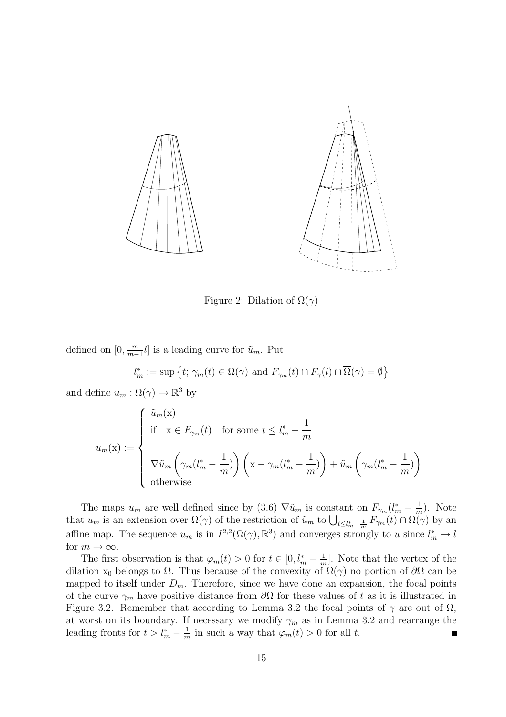

Figure 2: Dilation of  $\Omega(\gamma)$ 

defined on  $[0, \frac{m}{m-1}l]$  is a leading curve for  $\tilde{u}_m$ . Put

 $l_m^* := \sup \{ t; \gamma_m(t) \in \Omega(\gamma) \text{ and } F_{\gamma_m}(t) \cap F_{\gamma}(l) \cap \overline{\Omega}(\gamma) = \emptyset \}$ 

and define  $u_m : \Omega(\gamma) \to \mathbb{R}^3$  by

$$
u_m(\mathbf{x}) := \begin{cases} \tilde{u}_m(\mathbf{x}) \\ \text{if } \mathbf{x} \in F_{\gamma_m}(t) \quad \text{for some } t \le l_m^* - \frac{1}{m} \\ \\ \nabla \tilde{u}_m \left( \gamma_m (l_m^* - \frac{1}{m}) \right) \left( \mathbf{x} - \gamma_m (l_m^* - \frac{1}{m}) \right) + \tilde{u}_m \left( \gamma_m (l_m^* - \frac{1}{m}) \right) \\ \text{otherwise} \end{cases}
$$

The maps  $u_m$  are well defined since by (3.6)  $\nabla \tilde{u}_m$  is constant on  $F_{\gamma_m}(l_m^* - \frac{1}{m})$ . Note that  $u_m$  is an extension over  $\Omega(\gamma)$  of the restriction of  $\tilde{u}_m$  to  $\bigcup_{t\leq l_m^*-\frac{1}{m}}F_{\gamma_m}(t)\cap\Omega(\gamma)$  by an affine map. The sequence  $u_m$  is in  $I^{2,2}(\Omega(\gamma), \mathbb{R}^3)$  and converges strongly to u since  $l_m^* \to l$ for  $m \to \infty$ .

The first observation is that  $\varphi_m(t) > 0$  for  $t \in [0, l_m^* - \frac{1}{m}]$ . Note that the vertex of the tion  $x_c$  belongs to O. Thus because of the convexity of  $\Omega(x)$  no portion of  $\partial\Omega$  can be dilation x<sub>0</sub> belongs to  $\Omega$ . Thus because of the convexity of  $\Omega(\gamma)$  no portion of  $\partial\Omega$  can be mapped to itself under  $D_m$ . Therefore, since we have done an expansion, the focal points of the curve  $\gamma_m$  have positive distance from  $\partial\Omega$  for these values of t as it is illustrated in Figure 3.2. Remember that according to Lemma 3.2 the focal points of  $\gamma$  are out of  $\Omega$ , at worst on its boundary. If necessary we modify  $\gamma_m$  as in Lemma 3.2 and rearrange the leading fronts for  $t > l_m^* - \frac{1}{m}$  in such a way that  $\varphi_m(t) > 0$  for all t.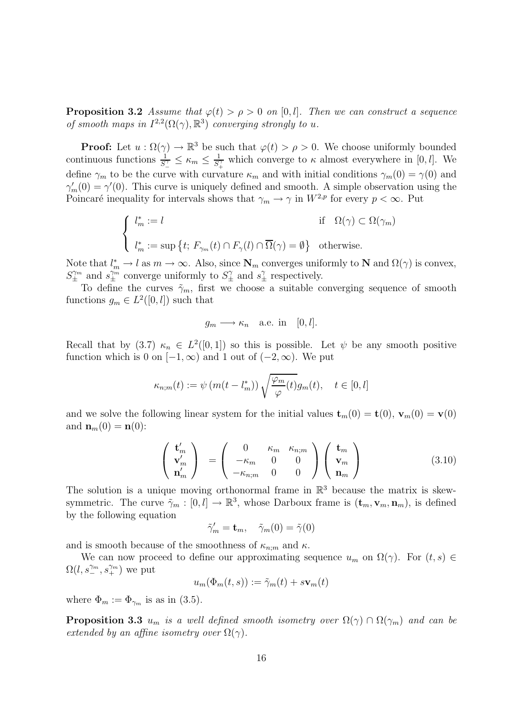**Proposition 3.2** Assume that  $\varphi(t) > \rho > 0$  on [0, l]. Then we can construct a sequence of smooth maps in  $I^{2,2}(\Omega(\gamma), \mathbb{R}^3)$  converging strongly to u.

**Proof:** Let  $u : \Omega(\gamma) \to \mathbb{R}^3$  be such that  $\varphi(t) > \rho > 0$ . We choose uniformly bounded continuous functions  $\frac{1}{S_1^2} \le \kappa_m \le \frac{1}{S_+^2}$  which converge to  $\kappa$  almost everywhere in [0, *l*]. We define  $\gamma_m$  to be the curve with curvature  $\kappa_m$  and with initial conditions  $\gamma_m(0) = \gamma(0)$  and  $\gamma'_m(0) = \gamma'(0)$ . This curve is uniquely defined and smooth. A simple observation using the<br>Poinceré inequality for intervals shows that  $\alpha \to \alpha$  in  $W^{2,p}$  for every  $n \leq \infty$ . But Poincaré inequality for intervals shows that  $\gamma_m \to \gamma$  in  $W^{2,p}$  for every  $p < \infty$ . Put

$$
\begin{cases}\n l_m^* := l & \text{if } \Omega(\gamma) \subset \Omega(\gamma_m) \\
 l_m^* := \sup \{ t; \ F_{\gamma_m}(t) \cap F_{\gamma}(l) \cap \overline{\Omega}(\gamma) = \emptyset \} & \text{otherwise.} \n\end{cases}
$$

Note that  $l_m^* \to l$  as  $m \to \infty$ . Also, since  $\mathbf{N}_m$  converges uniformly to  $\mathbf{N}$  and  $\Omega(\gamma)$  is convex,  $S^{\gamma_m}$  and  $s^{\gamma_m}$  converges uniformly to  $S^{\gamma}$  and  $s^{\gamma}$  respectively.  $S_{\pm}^{\gamma_m}$  and  $s_{\pm}^{\gamma_m}$  converge uniformly to  $S_{\pm}^{\gamma}$  and  $s_{\pm}^{\gamma}$  respectively.

To define the curves  $\tilde{\gamma}_m$ , first we choose a suitable converging sequence of smooth functions  $g_m \in L^2([0, l])$  such that

$$
g_m \longrightarrow \kappa_n
$$
 a.e. in [0, l].

Recall that by (3.7)  $\kappa_n \in L^2([0,1])$  so this is possible. Let  $\psi$  be any smooth positive function which is 0 on  $[-1, \infty)$  and 1 out of  $(-2, \infty)$ . We put

$$
\kappa_{n;m}(t) := \psi\left(m(t - l_m^*)\right) \sqrt{\frac{\varphi_m}{\varphi}(t)} g_m(t), \quad t \in [0, l]
$$

and we solve the following linear system for the initial values  $\mathbf{t}_m(0) = \mathbf{t}(0)$ ,  $\mathbf{v}_m(0) = \mathbf{v}(0)$ and **:** 

$$
\begin{pmatrix} \mathbf{t}'_m \\ \mathbf{v}'_m \\ \mathbf{n}'_m \end{pmatrix} = \begin{pmatrix} 0 & \kappa_m & \kappa_{n;m} \\ -\kappa_m & 0 & 0 \\ -\kappa_{n;m} & 0 & 0 \end{pmatrix} \begin{pmatrix} \mathbf{t}_m \\ \mathbf{v}_m \\ \mathbf{n}_m \end{pmatrix}
$$
(3.10)

The solution is a unique moving orthonormal frame in  $\mathbb{R}^3$  because the matrix is skewsymmetric. The curve  $\tilde{\gamma}_m : [0, l] \to \mathbb{R}^3$ , whose Darboux frame is  $(\mathbf{t}_m, \mathbf{v}_m, \mathbf{n}_m)$ , is defined by the following equation

$$
\tilde{\gamma}'_m = \mathbf{t}_m, \quad \tilde{\gamma}_m(0) = \tilde{\gamma}(0)
$$

and is smooth because of the smoothness of  $\kappa_{n;m}$  and  $\kappa$ .

We can now proceed to define our approximating sequence  $u_m$  on  $\Omega(\gamma)$ . For  $(t, s) \in$  $\Omega(l, s_{-}^{\gamma_m}, s_{+}^{\gamma_m})$  we put

$$
u_m(\Phi_m(t,s)) := \tilde{\gamma}_m(t) + s \mathbf{v}_m(t)
$$

where  $\Phi_m := \Phi_{\gamma_m}$  is as in (3.5).

**Proposition 3.3**  $u_m$  is a well defined smooth isometry over  $\Omega(\gamma) \cap \Omega(\gamma_m)$  and can be extended by an affine isometry over  $\Omega(\gamma)$ .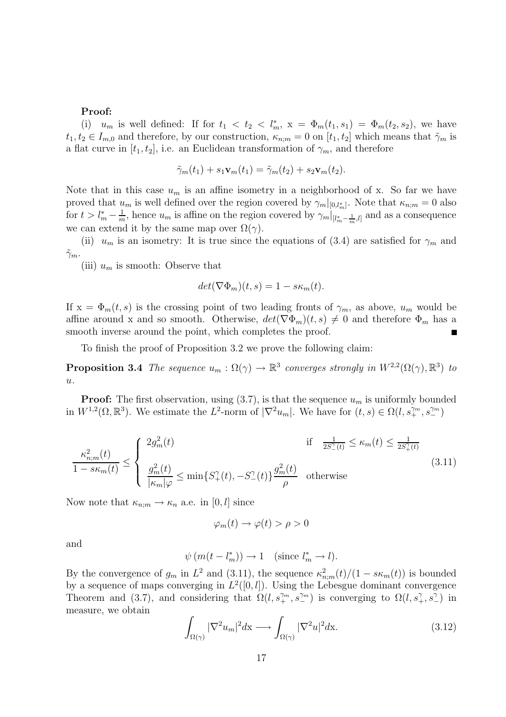#### **Proof:**

(i)  $u_m$  is well defined: If for  $t_1 < t_2 < l_m^*$ ,  $x = \Phi_m(t_1, s_1) = \Phi_m(t_2, s_2)$ , we have  $t_1, t_2 \in I_{m,0}$  and therefore, by our construction,  $\kappa_{n,m} = 0$  on  $[t_1, t_2]$  which means that  $\tilde{\gamma}_m$  is a flat curve in  $[t_1, t_2]$ , i.e. an Euclidean transformation of  $\gamma_m$ , and therefore

$$
\tilde{\gamma}_m(t_1) + s_1 \mathbf{v}_m(t_1) = \tilde{\gamma}_m(t_2) + s_2 \mathbf{v}_m(t_2).
$$

Note that in this case  $u_m$  is an affine isometry in a neighborhood of x. So far we have proved that  $u_m$  is well defined over the region covered by  $\gamma_m|_{[0,l_m^*]}$ . Note that  $\kappa_{n;m} = 0$  also for  $t > l_m^* - \frac{1}{m}$ , hence  $u_m$  is affine on the region covered by  $\gamma_m|_{[l_m^* - \frac{1}{m},l]}$  and as a consequence we can extend it by the same map over  $\Omega(\gamma)$ .

(ii)  $u_m$  is an isometry: It is true since the equations of (3.4) are satisfied for  $\gamma_m$  and  $\tilde{\gamma}_m$ .

(iii)  $u_m$  is smooth: Observe that

$$
det(\nabla \Phi_m)(t,s) = 1 - s\kappa_m(t).
$$

If  $x = \Phi_m(t, s)$  is the crossing point of two leading fronts of  $\gamma_m$ , as above,  $u_m$  would be affine around x and so smooth. Otherwise,  $det(\nabla \Phi_m)(t,s) \neq 0$  and therefore  $\Phi_m$  has a smooth inverse around the point, which completes the proof.

To finish the proof of Proposition 3.2 we prove the following claim:

**Proposition 3.4** The sequence  $u_m : \Omega(\gamma) \to \mathbb{R}^3$  converges strongly in  $W^{2,2}(\Omega(\gamma), \mathbb{R}^3)$  to  $u$ .

**Proof:** The first observation, using  $(3.7)$ , is that the sequence  $u_m$  is uniformly bounded in  $W^{1,2}(\Omega,\mathbb{R}^3)$ . We estimate the  $L^2$ -norm of  $|\nabla^2 u_m|$ . We have for  $(t,s) \in \Omega(l, s_+^{\gamma_m}, s_-^{\gamma_m})$ 

$$
\frac{\kappa_{n;m}^2(t)}{1 - s\kappa_m(t)} \le \begin{cases} 2g_m^2(t) & \text{if } \frac{1}{2S_\perp^{\gamma}(t)} \le \kappa_m(t) \le \frac{1}{2S_\perp^{\gamma}(t)}\\ \frac{g_m^2(t)}{|\kappa_m|\varphi} \le \min\{S_\perp^{\gamma}(t), -S_\perp^{\gamma}(t)\} \frac{g_m^2(t)}{\rho} & \text{otherwise} \end{cases} \tag{3.11}
$$

Now note that  $\kappa_{n;m} \to \kappa_n$  a.e. in  $[0, l]$  since

$$
\varphi_m(t) \to \varphi(t) > \rho > 0
$$

and

$$
\psi(m(t - l_m^*)) \to 1 \quad \text{(since } l_m^* \to l\text{)}.
$$

By the convergence of  $g_m$  in  $L^2$  and  $(3.11)$ , the sequence  $\kappa_{n,m}^2(t)/(1 - s\kappa_m(t))$  is bounded<br>by a sequence of maps converging in  $L^2([0, t])$ . Using the Lebesgue deminant convergence by a sequence of maps converging in  $L^2([0, l])$ . Using the Lebesgue dominant convergence Theorem and (3.7), and considering that  $\Omega(l, s_+^{\gamma_m}, s_-^{\gamma_m})$  is converging to  $\Omega(l, s_+^{\gamma}, s_-^{\gamma})$  in measure, we obtain

$$
\int_{\Omega(\gamma)} |\nabla^2 u_m|^2 dx \longrightarrow \int_{\Omega(\gamma)} |\nabla^2 u|^2 dx.
$$
\n(3.12)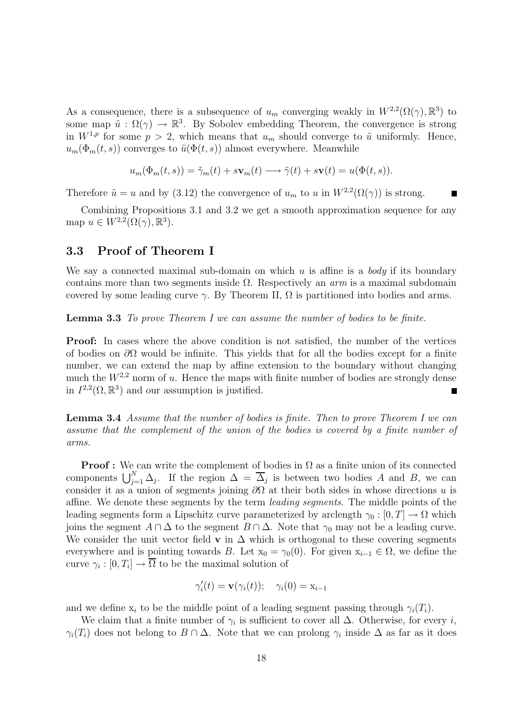As a consequence, there is a subsequence of  $u_m$  converging weakly in  $W^{2,2}(\Omega(\gamma), \mathbb{R}^3)$  to some map  $\tilde{u}: \Omega(\gamma) \to \mathbb{R}^3$ . By Sobolev embedding Theorem, the convergence is strong in  $W^{1,p}$  for some  $p > 2$ , which means that  $u_m$  should converge to  $\tilde{u}$  uniformly. Hence,  $u_m(\Phi_m(t,s))$  converges to  $\tilde{u}(\Phi(t,s))$  almost everywhere. Meanwhile

$$
u_m(\Phi_m(t,s)) = \tilde{\gamma}_m(t) + s\mathbf{v}_m(t) \longrightarrow \tilde{\gamma}(t) + s\mathbf{v}(t) = u(\Phi(t,s)).
$$

Therefore  $\tilde{u} = u$  and by (3.12) the convergence of  $u_m$  to u in  $W^{2,2}(\Omega(\gamma))$  is strong.

Combining Propositions 3.1 and 3.2 we get a smooth approximation sequence for any map  $u \in W^{2,2}(\Omega(\gamma), \mathbb{R}^3)$ .

#### **3.3 Proof of Theorem I**

We say a connected maximal sub-domain on which  $u$  is affine is a body if its boundary contains more than two segments inside  $\Omega$ . Respectively an *arm* is a maximal subdomain covered by some leading curve  $\gamma$ . By Theorem II,  $\Omega$  is partitioned into bodies and arms.

**Lemma 3.3** To prove Theorem I we can assume the number of bodies to be finite.

**Proof:** In cases where the above condition is not satisfied, the number of the vertices of bodies on  $\partial\Omega$  would be infinite. This yields that for all the bodies except for a finite number, we can extend the map by affine extension to the boundary without changing much the  $W^{2,2}$  norm of u. Hence the maps with finite number of bodies are strongly dense in  $I^{2,2}(\Omega,\mathbb{R}^3)$  and our assumption is justified.

**Lemma 3.4** Assume that the number of bodies is finite. Then to prove Theorem I we can assume that the complement of the union of the bodies is covered by a finite number of arms.

**Proof :** We can write the complement of bodies in  $\Omega$  as a finite union of its connected components  $\bigcup_{j=1}^{N} \Delta_j$ . If the region  $\Delta = \Delta_j$  is between two bodies A and B, we can<br>consider it as a union of segments ioning  $\partial\Omega$  at their both sides in whose directions u is consider it as a union of segments joining  $\partial\Omega$  at their both sides in whose directions u is affine. We denote these segments by the term *leading segments*. The middle points of the leading segments form a Lipschitz curve parameterized by arclength  $\gamma_0 : [0, T] \to \Omega$  which joins the segment  $A \cap \Delta$  to the segment  $B \cap \Delta$ . Note that  $\gamma_0$  may not be a leading curve. We consider the unit vector field **v** in  $\Delta$  which is orthogonal to these covering segments everywhere and is pointing towards B. Let  $x_0 = \gamma_0(0)$ . For given  $x_{i-1} \in \Omega$ , we define the curve  $\gamma_i : [0, T_i] \to \overline{\Omega}$  to be the maximal solution of

$$
\gamma_i'(t) = \mathbf{v}(\gamma_i(t)); \quad \gamma_i(0) = x_{i-1}
$$

and we define  $x_i$  to be the middle point of a leading segment passing through  $\gamma_i(T_i)$ .

We claim that a finite number of  $\gamma_i$  is sufficient to cover all  $\Delta$ . Otherwise, for every *i*,  $\gamma_i(T_i)$  does not belong to  $B \cap \Delta$ . Note that we can prolong  $\gamma_i$  inside  $\Delta$  as far as it does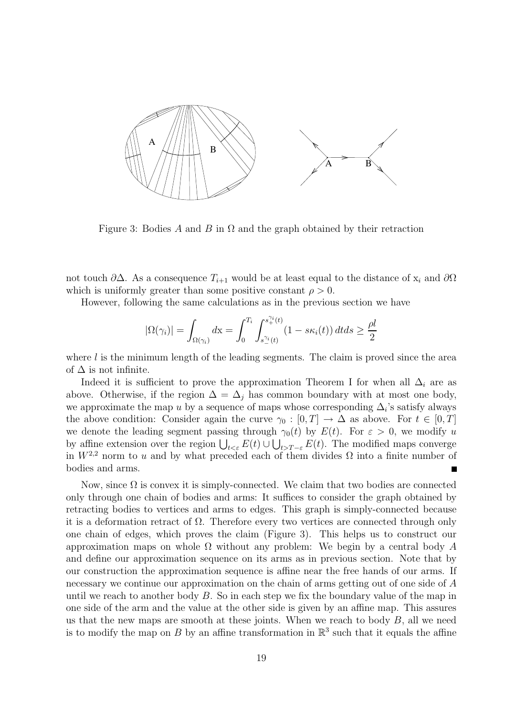

Figure 3: Bodies A and B in  $\Omega$  and the graph obtained by their retraction

not touch  $\partial\Delta$ . As a consequence  $T_{i+1}$  would be at least equal to the distance of  $x_i$  and  $\partial\Omega$ which is uniformly greater than some positive constant  $\rho > 0$ .

However, following the same calculations as in the previous section we have

$$
|\Omega(\gamma_i)| = \int_{\Omega(\gamma_i)} dx = \int_0^{T_i} \int_{s_-^{\gamma_i}(t)}^{s_+^{\gamma_i}(t)} (1 - s\kappa_i(t)) dt ds \ge \frac{\rho l}{2}
$$

where  $l$  is the minimum length of the leading segments. The claim is proved since the area of  $\Delta$  is not infinite.

Indeed it is sufficient to prove the approximation Theorem I for when all  $\Delta_i$  are as above. Otherwise, if the region  $\Delta = \Delta_i$  has common boundary with at most one body, we approximate the map u by a sequence of maps whose corresponding  $\Delta_i$ 's satisfy always the above condition: Consider again the curve  $\gamma_0 : [0, T] \to \Delta$  as above. For  $t \in [0, T]$ we denote the leading segment passing through  $\gamma_0(t)$  by  $E(t)$ . For  $\varepsilon > 0$ , we modify u by affine extension over the region  $\bigcup_{t<\varepsilon} E(t) \cup \bigcup_{t>T-\varepsilon} E(t)$ . The modified maps converge<br>in  $W^{2,2}$  porm to u and by what prococod each of them divides Q into a finite number of in  $W^{2,2}$  norm to u and by what preceded each of them divides  $\Omega$  into a finite number of bodies and arms.

Now, since  $\Omega$  is convex it is simply-connected. We claim that two bodies are connected only through one chain of bodies and arms: It suffices to consider the graph obtained by retracting bodies to vertices and arms to edges. This graph is simply-connected because it is a deformation retract of  $\Omega$ . Therefore every two vertices are connected through only one chain of edges, which proves the claim (Figure 3). This helps us to construct our approximation maps on whole  $\Omega$  without any problem: We begin by a central body A and define our approximation sequence on its arms as in previous section. Note that by our construction the approximation sequence is affine near the free hands of our arms. If necessary we continue our approximation on the chain of arms getting out of one side of A until we reach to another body  $B$ . So in each step we fix the boundary value of the map in one side of the arm and the value at the other side is given by an affine map. This assures us that the new maps are smooth at these joints. When we reach to body  $B$ , all we need is to modify the map on B by an affine transformation in  $\mathbb{R}^3$  such that it equals the affine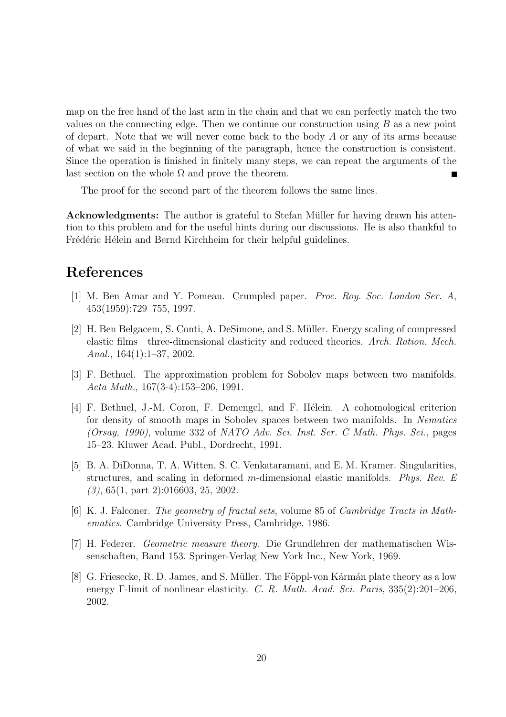map on the free hand of the last arm in the chain and that we can perfectly match the two values on the connecting edge. Then we continue our construction using  $B$  as a new point of depart. Note that we will never come back to the body A or any of its arms because of what we said in the beginning of the paragraph, hence the construction is consistent. Since the operation is finished in finitely many steps, we can repeat the arguments of the last section on the whole  $\Omega$  and prove the theorem.

The proof for the second part of the theorem follows the same lines.

**Acknowledgments:** The author is grateful to Stefan Müller for having drawn his attention to this problem and for the useful hints during our discussions. He is also thankful to Frédéric Hélein and Bernd Kirchheim for their helpful guidelines.

## **References**

- [1] M. Ben Amar and Y. Pomeau. Crumpled paper. Proc. Roy. Soc. London Ser. A, 453(1959):729–755, 1997.
- [2] H. Ben Belgacem, S. Conti, A. DeSimone, and S. Müller. Energy scaling of compressed elastic films—three-dimensional elasticity and reduced theories. Arch. Ration. Mech. Anal., 164(1):1–37, 2002.
- [3] F. Bethuel. The approximation problem for Sobolev maps between two manifolds. Acta Math., 167(3-4):153–206, 1991.
- [4] F. Bethuel, J.-M. Coron, F. Demengel, and F. H´elein. A cohomological criterion for density of smooth maps in Sobolev spaces between two manifolds. In Nematics (Orsay, 1990), volume 332 of NATO Adv. Sci. Inst. Ser. C Math. Phys. Sci., pages 15–23. Kluwer Acad. Publ., Dordrecht, 1991.
- [5] B. A. DiDonna, T. A. Witten, S. C. Venkataramani, and E. M. Kramer. Singularities, structures, and scaling in deformed m-dimensional elastic manifolds. Phys. Rev. E (3), 65(1, part 2):016603, 25, 2002.
- [6] K. J. Falconer. The geometry of fractal sets, volume 85 of Cambridge Tracts in Mathematics. Cambridge University Press, Cambridge, 1986.
- [7] H. Federer. Geometric measure theory. Die Grundlehren der mathematischen Wissenschaften, Band 153. Springer-Verlag New York Inc., New York, 1969.
- $[8]$  G. Friesecke, R. D. James, and S. Müller. The Föppl-von Kármán plate theory as a low energy Γ-limit of nonlinear elasticity. C. R. Math. Acad. Sci. Paris, 335(2):201–206, 2002.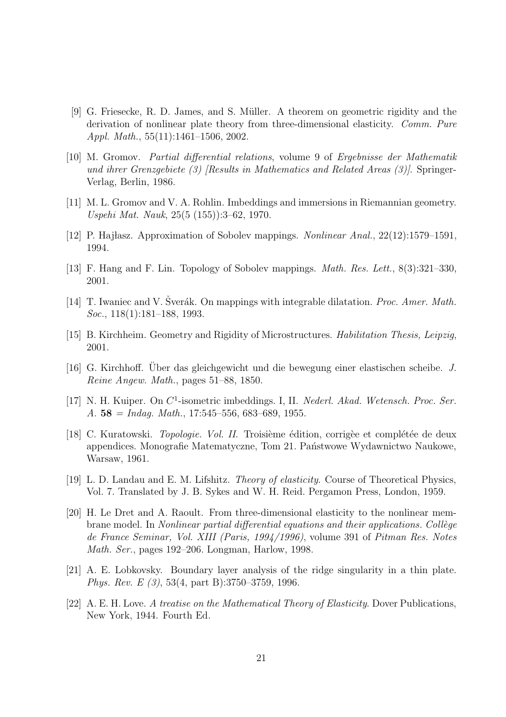- [9] G. Friesecke, R. D. James, and S. M¨uller. A theorem on geometric rigidity and the derivation of nonlinear plate theory from three-dimensional elasticity. Comm. Pure Appl. Math., 55(11):1461–1506, 2002.
- [10] M. Gromov. Partial differential relations, volume 9 of Ergebnisse der Mathematik und ihrer Grenzgebiete (3) [Results in Mathematics and Related Areas (3)]. Springer-Verlag, Berlin, 1986.
- [11] M. L. Gromov and V. A. Rohlin. Imbeddings and immersions in Riemannian geometry. Uspehi Mat. Nauk, 25(5 (155)):3–62, 1970.
- [12] P. Hajlasz. Approximation of Sobolev mappings. Nonlinear Anal., 22(12):1579–1591, 1994.
- [13] F. Hang and F. Lin. Topology of Sobolev mappings. Math. Res. Lett., 8(3):321–330, 2001.
- [14] T. Iwaniec and V. Sverák. On mappings with integrable dilatation. *Proc. Amer. Math.* Soc., 118(1):181–188, 1993.
- [15] B. Kirchheim. Geometry and Rigidity of Microstructures. Habilitation Thesis, Leipzig, 2001.
- [16] G. Kirchhoff. Über das gleichgewicht und die bewegung einer elastischen scheibe. J. Reine Angew. Math., pages 51–88, 1850.
- [17] N. H. Kuiper. On  $C^1$ -isometric imbeddings. I, II. Nederl. Akad. Wetensch. Proc. Ser. A. **58** = Indag. Math., 17:545–556, 683–689, 1955.
- [18] C. Kuratowski. *Topologie. Vol. II.* Troisième édition, corrigèe et complétée de deux appendices. Monografie Matematyczne, Tom 21. Państwowe Wydawnictwo Naukowe, Warsaw, 1961.
- [19] L. D. Landau and E. M. Lifshitz. Theory of elasticity. Course of Theoretical Physics, Vol. 7. Translated by J. B. Sykes and W. H. Reid. Pergamon Press, London, 1959.
- [20] H. Le Dret and A. Raoult. From three-dimensional elasticity to the nonlinear membrane model. In *Nonlinear partial differential equations and their applications. Collège* de France Seminar, Vol. XIII (Paris, 1994/1996), volume 391 of Pitman Res. Notes Math. Ser., pages 192–206. Longman, Harlow, 1998.
- [21] A. E. Lobkovsky. Boundary layer analysis of the ridge singularity in a thin plate. Phys. Rev. E (3), 53(4, part B):3750–3759, 1996.
- [22] A. E. H. Love. A treatise on the Mathematical Theory of Elasticity. Dover Publications, New York, 1944. Fourth Ed.